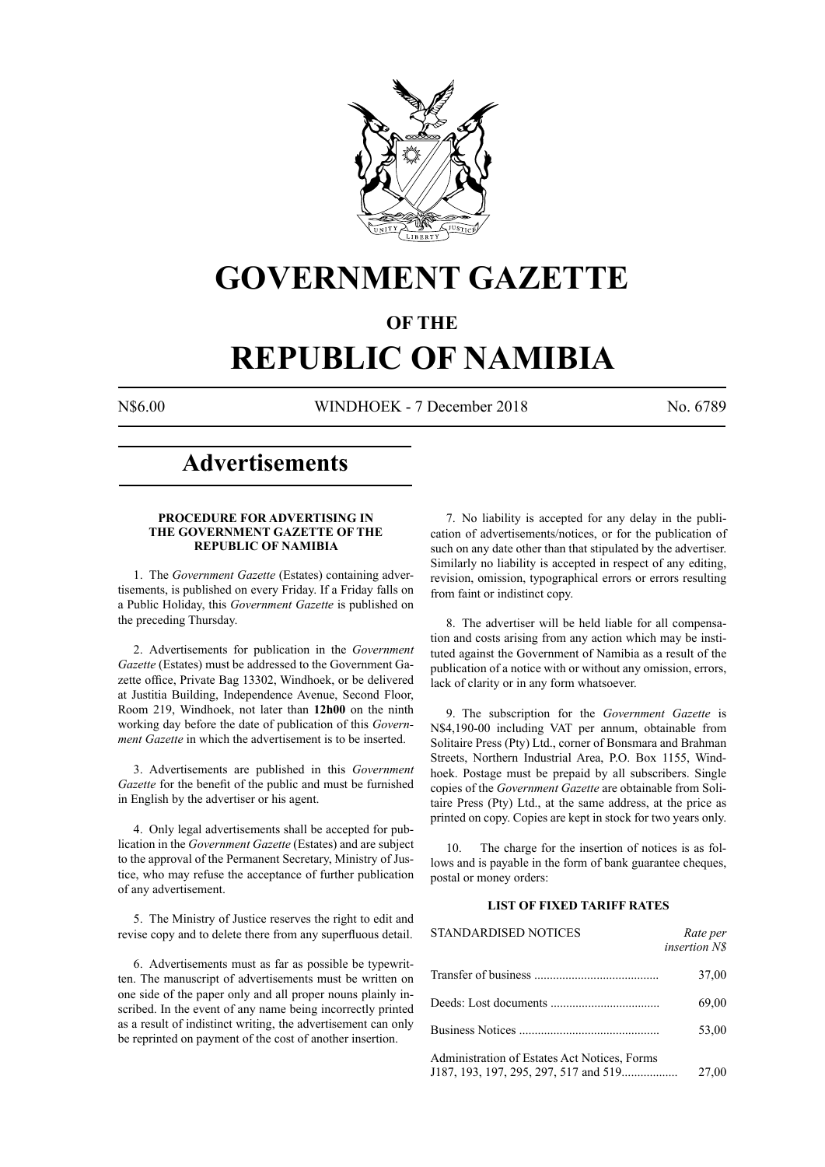

## **GOVERNMENT GAZETTE**

## **OF THE**

# **REPUBLIC OF NAMIBIA**

N\$6.00 WINDHOEK - 7 December 2018 No. 6789

## **Advertisements**

### **PROCEDURE FOR ADVERTISING IN THE GOVERNMENT GAZETTE OF THE REPUBLIC OF NAMIBIA**

1. The *Government Gazette* (Estates) containing advertisements, is published on every Friday. If a Friday falls on a Public Holiday, this *Government Gazette* is published on the preceding Thursday.

2. Advertisements for publication in the *Government Gazette* (Estates) must be addressed to the Government Gazette office, Private Bag 13302, Windhoek, or be delivered at Justitia Building, Independence Avenue, Second Floor, Room 219, Windhoek, not later than **12h00** on the ninth working day before the date of publication of this *Government Gazette* in which the advertisement is to be inserted.

3. Advertisements are published in this *Government Gazette* for the benefit of the public and must be furnished in English by the advertiser or his agent.

4. Only legal advertisements shall be accepted for publication in the *Government Gazette* (Estates) and are subject to the approval of the Permanent Secretary, Ministry of Justice, who may refuse the acceptance of further publication of any advertisement.

5. The Ministry of Justice reserves the right to edit and revise copy and to delete there from any superfluous detail.

6. Advertisements must as far as possible be typewritten. The manuscript of advertisements must be written on one side of the paper only and all proper nouns plainly inscribed. In the event of any name being incorrectly printed as a result of indistinct writing, the advertisement can only be reprinted on payment of the cost of another insertion.

7. No liability is accepted for any delay in the publication of advertisements/notices, or for the publication of such on any date other than that stipulated by the advertiser. Similarly no liability is accepted in respect of any editing, revision, omission, typographical errors or errors resulting from faint or indistinct copy.

8. The advertiser will be held liable for all compensation and costs arising from any action which may be instituted against the Government of Namibia as a result of the publication of a notice with or without any omission, errors, lack of clarity or in any form whatsoever.

9. The subscription for the *Government Gazette* is N\$4,190-00 including VAT per annum, obtainable from Solitaire Press (Pty) Ltd., corner of Bonsmara and Brahman Streets, Northern Industrial Area, P.O. Box 1155, Windhoek. Postage must be prepaid by all subscribers. Single copies of the *Government Gazette* are obtainable from Solitaire Press (Pty) Ltd., at the same address, at the price as printed on copy. Copies are kept in stock for two years only.

10. The charge for the insertion of notices is as follows and is payable in the form of bank guarantee cheques, postal or money orders:

### **LIST OF FIXED TARIFF RATES**

| <b>STANDARDISED NOTICES</b>                                                           | Rate per<br><i>insertion NS</i> |
|---------------------------------------------------------------------------------------|---------------------------------|
|                                                                                       | 37,00                           |
|                                                                                       | 69,00                           |
| Business Notices                                                                      | 53,00                           |
| Administration of Estates Act Notices, Forms<br>J187, 193, 197, 295, 297, 517 and 519 | 27,00                           |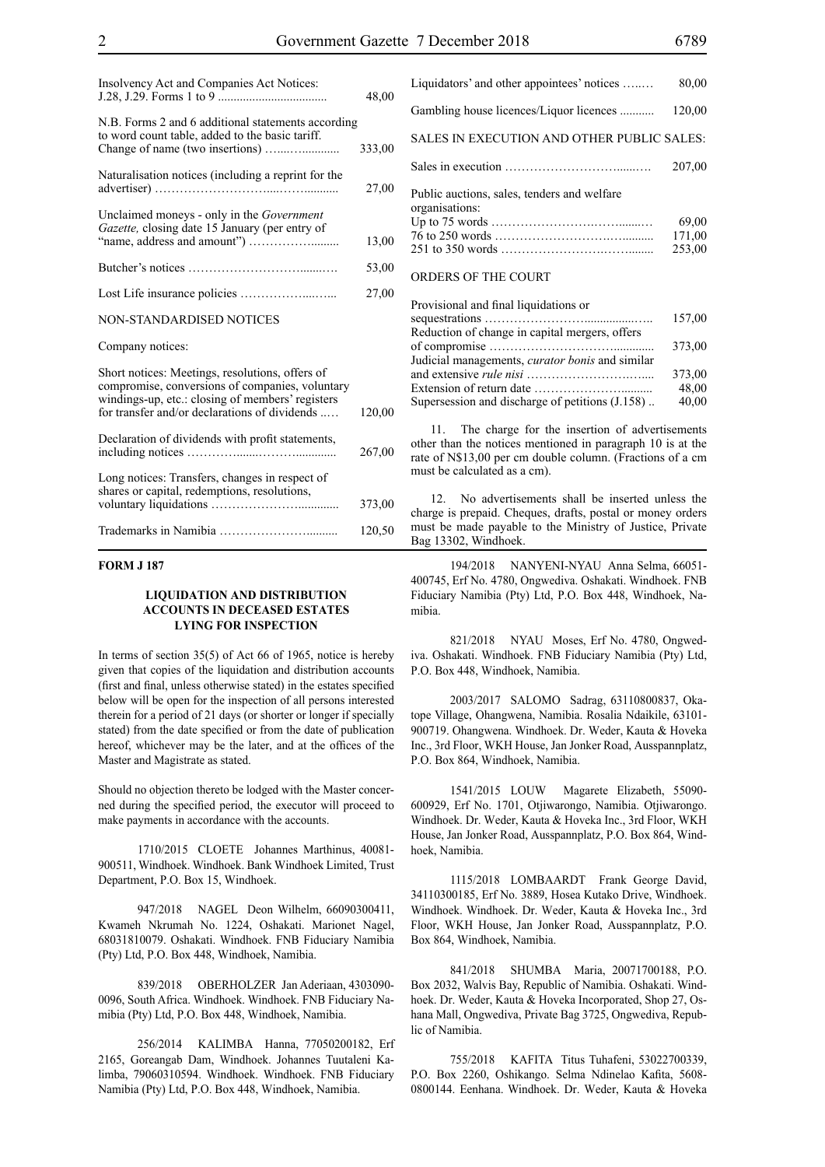| Insolvency Act and Companies Act Notices:                                                                                                                                                               | 48,00  |
|---------------------------------------------------------------------------------------------------------------------------------------------------------------------------------------------------------|--------|
| N.B. Forms 2 and 6 additional statements according<br>to word count table, added to the basic tariff.                                                                                                   | 333,00 |
| Naturalisation notices (including a reprint for the                                                                                                                                                     | 27,00  |
| Unclaimed moneys - only in the Government<br>Gazette, closing date 15 January (per entry of                                                                                                             | 13,00  |
|                                                                                                                                                                                                         | 53,00  |
|                                                                                                                                                                                                         | 27,00  |
| NON-STANDARDISED NOTICES                                                                                                                                                                                |        |
| Company notices:                                                                                                                                                                                        |        |
| Short notices: Meetings, resolutions, offers of<br>compromise, conversions of companies, voluntary<br>windings-up, etc.: closing of members' registers<br>for transfer and/or declarations of dividends | 120,00 |
| Declaration of dividends with profit statements,                                                                                                                                                        | 267,00 |
| Long notices: Transfers, changes in respect of<br>shares or capital, redemptions, resolutions,                                                                                                          | 373,00 |
|                                                                                                                                                                                                         | 120,50 |

### **FORM J 187**

### **LIQUIDATION AND DISTRIBUTION ACCOUNTS IN DECEASED ESTATES LYING FOR INSPECTION**

In terms of section 35(5) of Act 66 of 1965, notice is hereby given that copies of the liquidation and distribution accounts (first and final, unless otherwise stated) in the estates specified below will be open for the inspection of all persons interested therein for a period of 21 days (or shorter or longer if specially stated) from the date specified or from the date of publication hereof, whichever may be the later, and at the offices of the Master and Magistrate as stated.

Should no objection thereto be lodged with the Master concerned during the specified period, the executor will proceed to make payments in accordance with the accounts.

1710/2015 CLOETE Johannes Marthinus, 40081- 900511, Windhoek. Windhoek. Bank Windhoek Limited, Trust Department, P.O. Box 15, Windhoek.

947/2018 NAGEL Deon Wilhelm, 66090300411, Kwameh Nkrumah No. 1224, Oshakati. Marionet Nagel, 68031810079. Oshakati. Windhoek. FNB Fiduciary Namibia (Pty) Ltd, P.O. Box 448, Windhoek, Namibia.

839/2018 OBERHOLZER Jan Aderiaan, 4303090- 0096, South Africa. Windhoek. Windhoek. FNB Fiduciary Namibia (Pty) Ltd, P.O. Box 448, Windhoek, Namibia.

256/2014 KALIMBA Hanna, 77050200182, Erf 2165, Goreangab Dam, Windhoek. Johannes Tuutaleni Kalimba, 79060310594. Windhoek. Windhoek. FNB Fiduciary Namibia (Pty) Ltd, P.O. Box 448, Windhoek, Namibia.

| 80,00                                      |
|--------------------------------------------|
| 120,00                                     |
| SALES IN EXECUTION AND OTHER PUBLIC SALES: |
| 207,00                                     |
|                                            |
| 69,00                                      |
| 171,00                                     |
| 253,00                                     |
|                                            |

### ORDERS OF THE COURT

| Provisional and final liquidations or                  |        |
|--------------------------------------------------------|--------|
|                                                        | 157,00 |
| Reduction of change in capital mergers, offers         |        |
|                                                        | 373,00 |
| Judicial managements, <i>curator bonis</i> and similar |        |
|                                                        | 373,00 |
|                                                        | 48,00  |
| Supersession and discharge of petitions $(1.158)$ .    | 40,00  |
|                                                        |        |

11. The charge for the insertion of advertisements other than the notices mentioned in paragraph 10 is at the rate of N\$13,00 per cm double column. (Fractions of a cm must be calculated as a cm).

12. No advertisements shall be inserted unless the charge is prepaid. Cheques, drafts, postal or money orders must be made payable to the Ministry of Justice, Private Bag 13302, Windhoek.

194/2018 NANYENI-NYAU Anna Selma, 66051- 400745, Erf No. 4780, Ongwediva. Oshakati. Windhoek. FNB Fiduciary Namibia (Pty) Ltd, P.O. Box 448, Windhoek, Namibia.

821/2018 NYAU Moses, Erf No. 4780, Ongwediva. Oshakati. Windhoek. FNB Fiduciary Namibia (Pty) Ltd, P.O. Box 448, Windhoek, Namibia.

2003/2017 SALOMO Sadrag, 63110800837, Okatope Village, Ohangwena, Namibia. Rosalia Ndaikile, 63101- 900719. Ohangwena. Windhoek. Dr. Weder, Kauta & Hoveka Inc., 3rd Floor, WKH House, Jan Jonker Road, Ausspannplatz, P.O. Box 864, Windhoek, Namibia.

1541/2015 LOUW Magarete Elizabeth, 55090- 600929, Erf No. 1701, Otjiwarongo, Namibia. Otjiwarongo. Windhoek. Dr. Weder, Kauta & Hoveka Inc., 3rd Floor, WKH House, Jan Jonker Road, Ausspannplatz, P.O. Box 864, Windhoek, Namibia.

1115/2018 LOMBAARDT Frank George David, 34110300185, Erf No. 3889, Hosea Kutako Drive, Windhoek. Windhoek. Windhoek. Dr. Weder, Kauta & Hoveka Inc., 3rd Floor, WKH House, Jan Jonker Road, Ausspannplatz, P.O. Box 864, Windhoek, Namibia.

841/2018 SHUMBA Maria, 20071700188, P.O. Box 2032, Walvis Bay, Republic of Namibia. Oshakati. Windhoek. Dr. Weder, Kauta & Hoveka Incorporated, Shop 27, Oshana Mall, Ongwediva, Private Bag 3725, Ongwediva, Republic of Namibia.

755/2018 KAFITA Titus Tuhafeni, 53022700339, P.O. Box 2260, Oshikango. Selma Ndinelao Kafita, 5608- 0800144. Eenhana. Windhoek. Dr. Weder, Kauta & Hoveka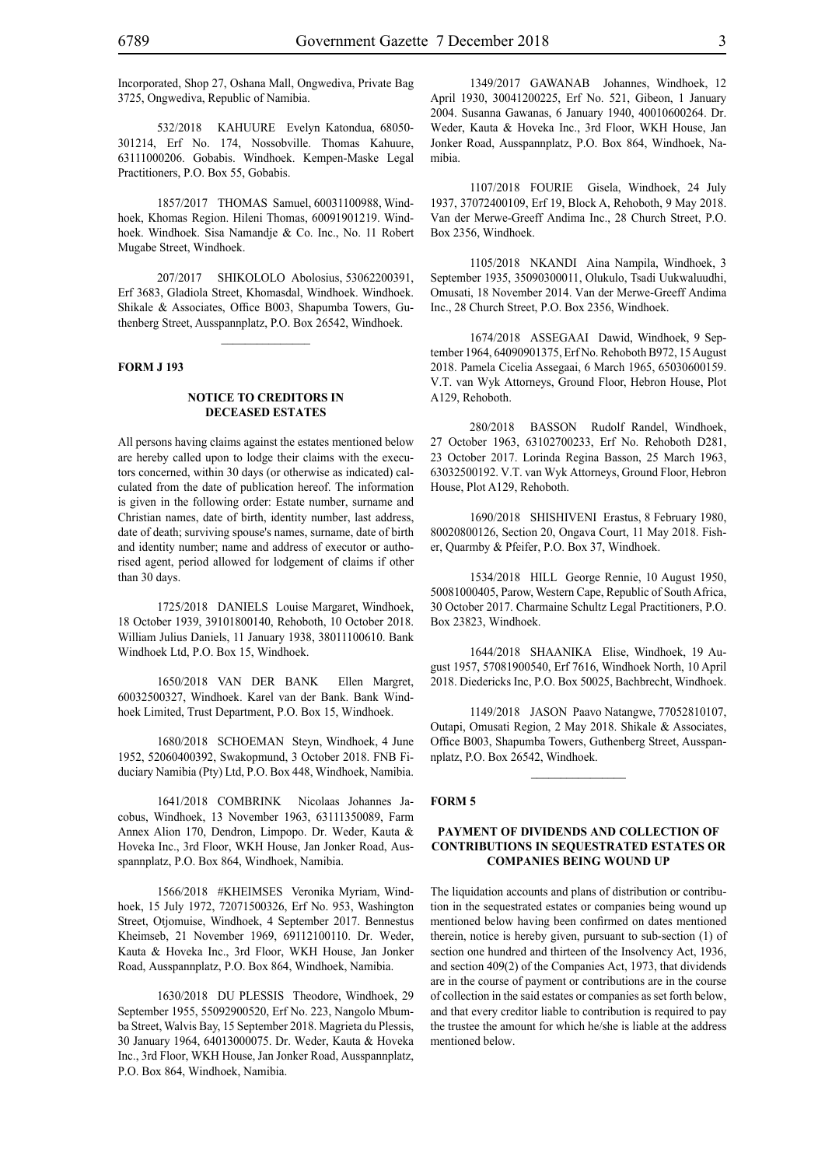Incorporated, Shop 27, Oshana Mall, Ongwediva, Private Bag 3725, Ongwediva, Republic of Namibia.

532/2018 KAHUURE Evelyn Katondua, 68050- 301214, Erf No. 174, Nossobville. Thomas Kahuure, 63111000206. Gobabis. Windhoek. Kempen-Maske Legal Practitioners, P.O. Box 55, Gobabis.

1857/2017 THOMAS Samuel, 60031100988, Windhoek, Khomas Region. Hileni Thomas, 60091901219. Windhoek. Windhoek. Sisa Namandje & Co. Inc., No. 11 Robert Mugabe Street, Windhoek.

207/2017 SHIKOLOLO Abolosius, 53062200391, Erf 3683, Gladiola Street, Khomasdal, Windhoek. Windhoek. Shikale & Associates, Office B003, Shapumba Towers, Guthenberg Street, Ausspannplatz, P.O. Box 26542, Windhoek.

 $\frac{1}{2}$ 

### **FORM J 193**

### **NOTICE TO CREDITORS IN DECEASED ESTATES**

All persons having claims against the estates mentioned below are hereby called upon to lodge their claims with the executors concerned, within 30 days (or otherwise as indicated) calculated from the date of publication hereof. The information is given in the following order: Estate number, surname and Christian names, date of birth, identity number, last address, date of death; surviving spouse's names, surname, date of birth and identity number; name and address of executor or authorised agent, period allowed for lodgement of claims if other than 30 days.

1725/2018 DANIELS Louise Margaret, Windhoek, 18 October 1939, 39101800140, Rehoboth, 10 October 2018. William Julius Daniels, 11 January 1938, 38011100610. Bank Windhoek Ltd, P.O. Box 15, Windhoek.

1650/2018 VAN DER BANK Ellen Margret, 60032500327, Windhoek. Karel van der Bank. Bank Windhoek Limited, Trust Department, P.O. Box 15, Windhoek.

1680/2018 SCHOEMAN Steyn, Windhoek, 4 June 1952, 52060400392, Swakopmund, 3 October 2018. FNB Fiduciary Namibia (Pty) Ltd, P.O. Box 448, Windhoek, Namibia.

1641/2018 COMBRINK Nicolaas Johannes Jacobus, Windhoek, 13 November 1963, 63111350089, Farm Annex Alion 170, Dendron, Limpopo. Dr. Weder, Kauta & Hoveka Inc., 3rd Floor, WKH House, Jan Jonker Road, Ausspannplatz, P.O. Box 864, Windhoek, Namibia.

1566/2018 #KHEIMSES Veronika Myriam, Windhoek, 15 July 1972, 72071500326, Erf No. 953, Washington Street, Otjomuise, Windhoek, 4 September 2017. Bennestus Kheimseb, 21 November 1969, 69112100110. Dr. Weder, Kauta & Hoveka Inc., 3rd Floor, WKH House, Jan Jonker Road, Ausspannplatz, P.O. Box 864, Windhoek, Namibia.

1630/2018 DU PLESSIS Theodore, Windhoek, 29 September 1955, 55092900520, Erf No. 223, Nangolo Mbumba Street, Walvis Bay, 15 September 2018. Magrieta du Plessis, 30 January 1964, 64013000075. Dr. Weder, Kauta & Hoveka Inc., 3rd Floor, WKH House, Jan Jonker Road, Ausspannplatz, P.O. Box 864, Windhoek, Namibia.

1349/2017 GAWANAB Johannes, Windhoek, 12 April 1930, 30041200225, Erf No. 521, Gibeon, 1 January 2004. Susanna Gawanas, 6 January 1940, 40010600264. Dr. Weder, Kauta & Hoveka Inc., 3rd Floor, WKH House, Jan Jonker Road, Ausspannplatz, P.O. Box 864, Windhoek, Namibia.

1107/2018 FOURIE Gisela, Windhoek, 24 July 1937, 37072400109, Erf 19, Block A, Rehoboth, 9 May 2018. Van der Merwe-Greeff Andima Inc., 28 Church Street, P.O. Box 2356, Windhoek.

1105/2018 NKANDI Aina Nampila, Windhoek, 3 September 1935, 35090300011, Olukulo, Tsadi Uukwaluudhi, Omusati, 18 November 2014. Van der Merwe-Greeff Andima Inc., 28 Church Street, P.O. Box 2356, Windhoek.

1674/2018 ASSEGAAI Dawid, Windhoek, 9 September 1964, 64090901375, Erf No. Rehoboth B972, 15 August 2018. Pamela Cicelia Assegaai, 6 March 1965, 65030600159. V.T. van Wyk Attorneys, Ground Floor, Hebron House, Plot A129, Rehoboth.

280/2018 BASSON Rudolf Randel, Windhoek, 27 October 1963, 63102700233, Erf No. Rehoboth D281, 23 October 2017. Lorinda Regina Basson, 25 March 1963, 63032500192. V.T. van Wyk Attorneys, Ground Floor, Hebron House, Plot A129, Rehoboth.

1690/2018 SHISHIVENI Erastus, 8 February 1980, 80020800126, Section 20, Ongava Court, 11 May 2018. Fisher, Quarmby & Pfeifer, P.O. Box 37, Windhoek.

1534/2018 HILL George Rennie, 10 August 1950, 50081000405, Parow, Western Cape, Republic of South Africa, 30 October 2017. Charmaine Schultz Legal Practitioners, P.O. Box 23823, Windhoek.

1644/2018 SHAANIKA Elise, Windhoek, 19 August 1957, 57081900540, Erf 7616, Windhoek North, 10 April 2018. Diedericks Inc, P.O. Box 50025, Bachbrecht, Windhoek.

1149/2018 JASON Paavo Natangwe, 77052810107, Outapi, Omusati Region, 2 May 2018. Shikale & Associates, Office B003, Shapumba Towers, Guthenberg Street, Ausspannplatz, P.O. Box 26542, Windhoek.

#### **FORM 5**

### **PAYMENT OF DIVIDENDS AND COLLECTION OF CONTRIBUTIONS IN SEQUESTRATED ESTATES OR COMPANIES BEING WOUND UP**

The liquidation accounts and plans of distribution or contribution in the sequestrated estates or companies being wound up mentioned below having been confirmed on dates mentioned therein, notice is hereby given, pursuant to sub-section (1) of section one hundred and thirteen of the Insolvency Act, 1936, and section 409(2) of the Companies Act, 1973, that dividends are in the course of payment or contributions are in the course of collection in the said estates or companies as set forth below, and that every creditor liable to contribution is required to pay the trustee the amount for which he/she is liable at the address mentioned below.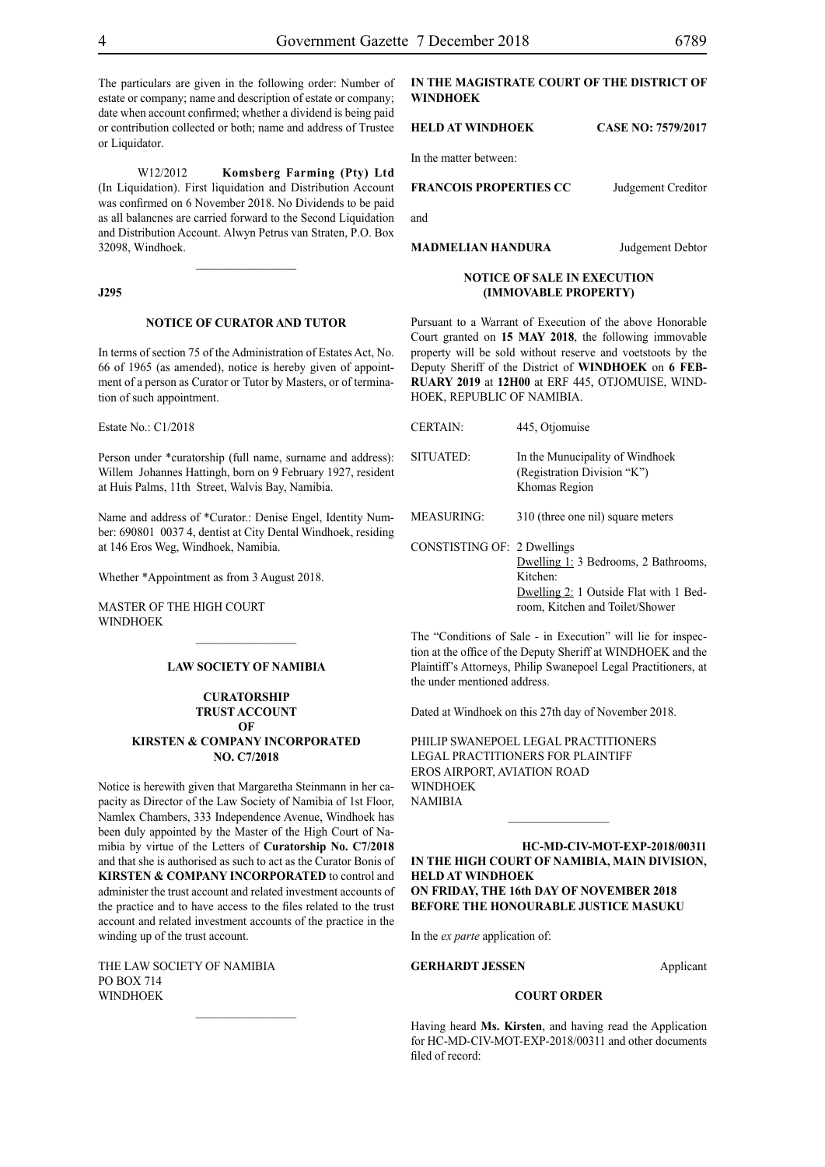The particulars are given in the following order: Number of estate or company; name and description of estate or company; date when account confirmed; whether a dividend is being paid or contribution collected or both; name and address of Trustee or Liquidator.

W12/2012 **Komsberg Farming (Pty) Ltd** (In Liquidation). First liquidation and Distribution Account was confirmed on 6 November 2018. No Dividends to be paid as all balancnes are carried forward to the Second Liquidation and Distribution Account. Alwyn Petrus van Straten, P.O. Box 32098, Windhoek.

 $\frac{1}{2}$ 

### **J295**

#### **NOTICE OF CURATOR AND TUTOR**

In terms of section 75 of the Administration of Estates Act, No. 66 of 1965 (as amended), notice is hereby given of appointment of a person as Curator or Tutor by Masters, or of termination of such appointment.

Estate No.: C1/2018

Person under \*curatorship (full name, surname and address): Willem Johannes Hattingh, born on 9 February 1927, resident at Huis Palms, 11th Street, Walvis Bay, Namibia.

Name and address of \*Curator.: Denise Engel, Identity Number: 690801 0037 4, dentist at City Dental Windhoek, residing at 146 Eros Weg, Windhoek, Namibia.

Whether \*Appointment as from 3 August 2018.

MASTER OF THE HIGH COURT WINDHOEK

### **LAW SOCIETY OF NAMIBIA**

 $\frac{1}{2}$ 

### **CURATORSHIP TRUST ACCOUNT OF KIRSTEN & COMPANY INCORPORATED NO. C7/2018**

Notice is herewith given that Margaretha Steinmann in her capacity as Director of the Law Society of Namibia of 1st Floor, Namlex Chambers, 333 Independence Avenue, Windhoek has been duly appointed by the Master of the High Court of Namibia by virtue of the Letters of **Curatorship No. C7/2018** and that she is authorised as such to act as the Curator Bonis of **KIRSTEN & COMPANY INCORPORATED** to control and administer the trust account and related investment accounts of the practice and to have access to the files related to the trust account and related investment accounts of the practice in the winding up of the trust account.

 $\frac{1}{2}$ 

THE LAW SOCIETY OF NAMIBIA PO BOX 714 WINDHOEK

### **IN THE MAGISTRATE COURT OF THE DISTRICT OF WINDHOEK**

#### **HELD AT WINDHOEK CASE NO: 7579/2017**

In the matter between:

### **FRANCOIS PROPERTIES CC** Judgement Creditor

and

**MADMELIAN HANDURA** Judgement Debtor

#### **NOTICE OF SALE IN EXECUTION (IMMOVABLE PROPERTY)**

Pursuant to a Warrant of Execution of the above Honorable Court granted on **15 MAY 2018**, the following immovable property will be sold without reserve and voetstoots by the Deputy Sheriff of the District of **WINDHOEK** on **6 FEB-RUARY 2019** at **12H00** at ERF 445, OTJOMUISE, WIND-HOEK, REPUBLIC OF NAMIBIA.

| <b>CERTAIN:</b>             | 445, Otiomuise                                                                                                                            |
|-----------------------------|-------------------------------------------------------------------------------------------------------------------------------------------|
| SITUATED:                   | In the Munucipality of Windhoek<br>(Registration Division "K")<br>Khomas Region                                                           |
| <b>MEASURING:</b>           | 310 (three one nil) square meters                                                                                                         |
| CONSTISTING OF: 2 Dwellings | Dwelling 1: 3 Bedrooms, 2 Bathrooms.<br>Kitchen <sup>-</sup><br>Dwelling 2: 1 Outside Flat with 1 Bed-<br>room, Kitchen and Toilet/Shower |

The "Conditions of Sale - in Execution" will lie for inspection at the office of the Deputy Sheriff at WINDHOEK and the Plaintiff's Attorneys, Philip Swanepoel Legal Practitioners, at the under mentioned address.

Dated at Windhoek on this 27th day of November 2018.

PHILIP SWANEPOEL LEGAL PRACTITIONERS LEGAL PRACTITIONERS FOR PLAINTIFF EROS AIRPORT, AVIATION ROAD WINDHOEK NAMIBIA

### **HC-MD-CIV-MOT-EXP-2018/00311 IN THE HIGH COURT OF NAMIBIA, MAIN DIVISION, HELD AT WINDHOEK ON FRIDAY, THE 16th DAY OF NOVEMBER 2018 BEFORE THE HONOURABLE JUSTICE MASUKU**

In the *ex parte* application of:

GERHARDT JESSEN **Applicant** 

### **COURT ORDER**

Having heard **Ms. Kirsten**, and having read the Application for HC-MD-CIV-MOT-EXP-2018/00311 and other documents filed of record: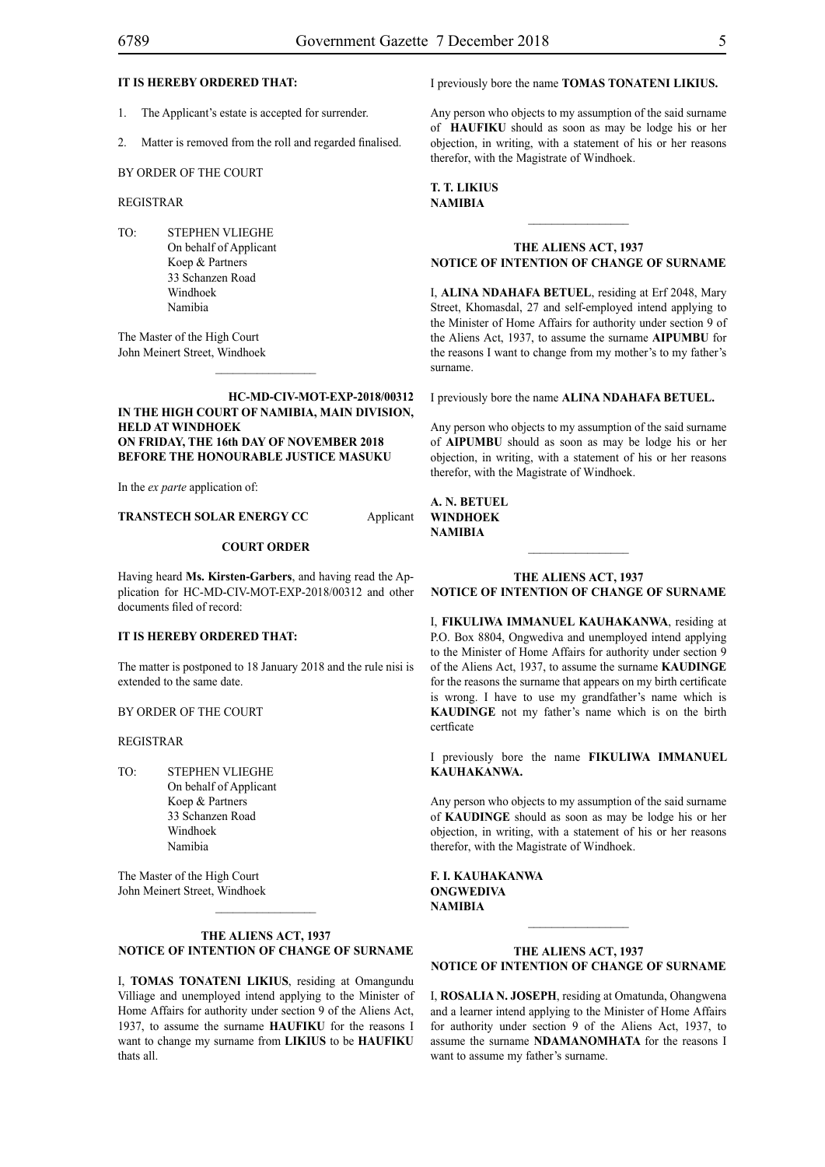### **IT IS HEREBY ORDERED THAT:**

- 1. The Applicant's estate is accepted for surrender.
- 2. Matter is removed from the roll and regarded finalised.

BY ORDER OF THE COURT

### REGISTRAR

TO: STEPHEN VLIEGHE On behalf of Applicant Koep & Partners 33 Schanzen Road Windhoek Namibia

The Master of the High Court John Meinert Street, Windhoek

### **HC-MD-CIV-MOT-EXP-2018/00312 IN THE HIGH COURT OF NAMIBIA, MAIN DIVISION, HELD AT WINDHOEK ON FRIDAY, THE 16th DAY OF NOVEMBER 2018 BEFORE THE HONOURABLE JUSTICE MASUKU**

 $\frac{1}{2}$ 

In the *ex parte* application of:

### **TRANSTECH SOLAR ENERGY CC** Applicant

### **COURT ORDER**

Having heard **Ms. Kirsten-Garbers**, and having read the Application for HC-MD-CIV-MOT-EXP-2018/00312 and other documents filed of record:

### **IT IS HEREBY ORDERED THAT:**

The matter is postponed to 18 January 2018 and the rule nisi is extended to the same date.

### BY ORDER OF THE COURT

### REGISTRAR

TO: STEPHEN VLIEGHE On behalf of Applicant Koep & Partners 33 Schanzen Road Windhoek Namibia

The Master of the High Court John Meinert Street, Windhoek  $\frac{1}{2}$ 

### **THE ALIENS ACT, 1937 NOTICE OF INTENTION OF CHANGE OF SURNAME**

I, **tomas tonateni likius**, residing at Omangundu Villiage and unemployed intend applying to the Minister of Home Affairs for authority under section 9 of the Aliens Act, 1937, to assume the surname **haufiku** for the reasons I want to change my surname from **LIKIUS** to be **HAUFIKU**  thats all.

I previously bore the name **tomas tonateni likius.**

Any person who objects to my assumption of the said surname of **HAUFIKU** should as soon as may be lodge his or her objection, in writing, with a statement of his or her reasons therefor, with the Magistrate of Windhoek.

### **t. t. likius NAMIBIA**

### **THE ALIENS ACT, 1937 NOTICE OF INTENTION OF CHANGE OF SURNAME**

I, ALINA NDAHAFA BETUEL, residing at Erf 2048, Mary Street, Khomasdal, 27 and self-employed intend applying to the Minister of Home Affairs for authority under section 9 of the Aliens Act, 1937, to assume the surname **aipumbu** for the reasons I want to change from my mother's to my father's surname.

I previously bore the name **ALINA NDAHAFA BETUEL.** 

Any person who objects to my assumption of the said surname of **aipumbu** should as soon as may be lodge his or her objection, in writing, with a statement of his or her reasons therefor, with the Magistrate of Windhoek.

**a. n. betuel windhoek NAMIBIA**

### **THE ALIENS ACT, 1937 NOTICE OF INTENTION OF CHANGE OF SURNAME**

I, **fikuliwa immanuel kauhakanwa**, residing at P.O. Box 8804, Ongwediva and unemployed intend applying to the Minister of Home Affairs for authority under section 9 of the Aliens Act, 1937, to assume the surname **KAUDINGE** for the reasons the surname that appears on my birth certificate is wrong. I have to use my grandfather's name which is **KAUDINGE** not my father's name which is on the birth certficate

I previously bore the name **fikuliwa immanuel kauhakanwa.**

Any person who objects to my assumption of the said surname of **kaudinge** should as soon as may be lodge his or her objection, in writing, with a statement of his or her reasons therefor, with the Magistrate of Windhoek.

**f. i. kauhakanwa ongwediva NAMIBIA**

### **THE ALIENS ACT, 1937 NOTICE OF INTENTION OF CHANGE OF SURNAME**

I, **Rosalia N. Joseph**, residing at Omatunda, Ohangwena and a learner intend applying to the Minister of Home Affairs for authority under section 9 of the Aliens Act, 1937, to assume the surname **NDAMANOMHATA** for the reasons I want to assume my father's surname.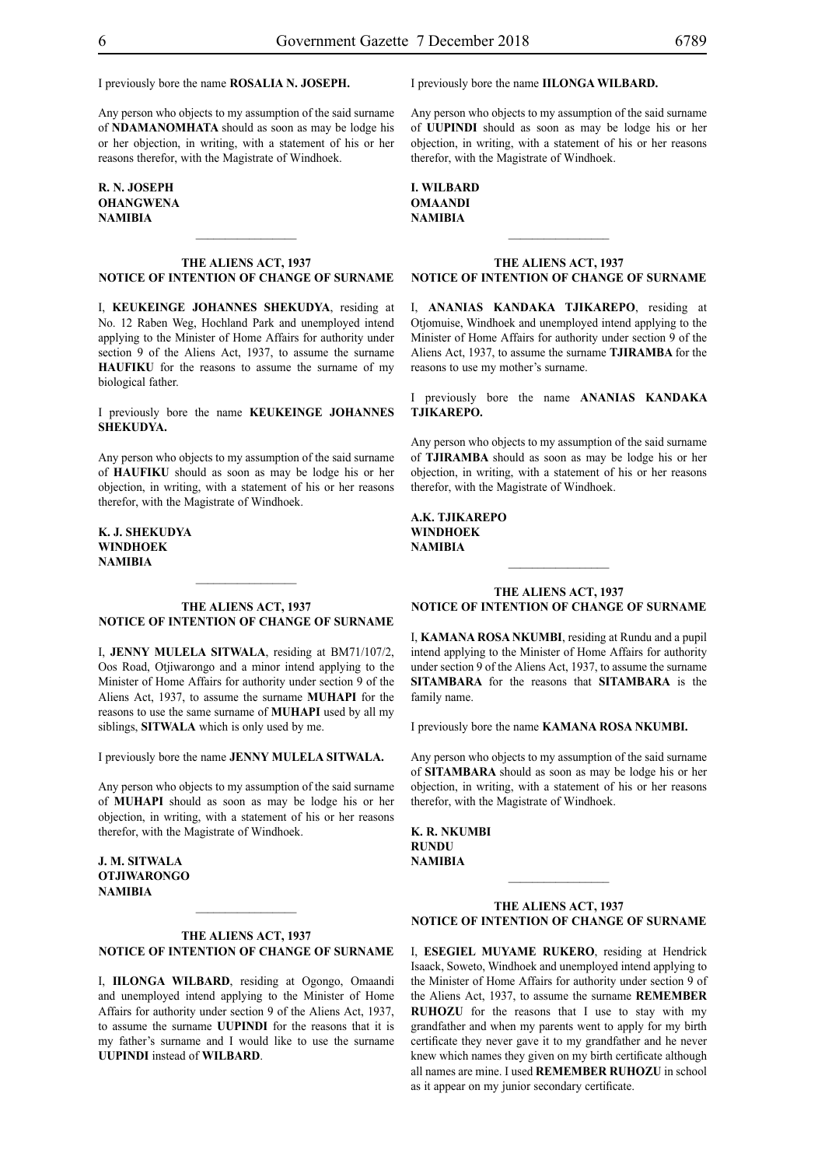I previously bore the name **Rosalia N. Joseph.**

Any person who objects to my assumption of the said surname of **NDAMANOMHATA** should as soon as may be lodge his or her objection, in writing, with a statement of his or her reasons therefor, with the Magistrate of Windhoek.

### **R. N. Joseph ohangwena NAMIBIA**

### **THE ALIENS ACT, 1937 NOTICE OF INTENTION OF CHANGE OF SURNAME**

 $\frac{1}{2}$ 

I, **keukeinge johannes shekudya**, residing at No. 12 Raben Weg, Hochland Park and unemployed intend applying to the Minister of Home Affairs for authority under section 9 of the Aliens Act, 1937, to assume the surname **HAUFIKU** for the reasons to assume the surname of my biological father.

I previously bore the name **keukeinge johannes shekudya.**

Any person who objects to my assumption of the said surname of **haufiku** should as soon as may be lodge his or her objection, in writing, with a statement of his or her reasons therefor, with the Magistrate of Windhoek.

**k. j. shekudya windhoek NAMIBIA**

### **THE ALIENS ACT, 1937 NOTICE OF INTENTION OF CHANGE OF SURNAME**

 $\frac{1}{2}$ 

I, **jenny mulela sitwala**, residing at BM71/107/2, Oos Road, Otjiwarongo and a minor intend applying to the Minister of Home Affairs for authority under section 9 of the Aliens Act, 1937, to assume the surname **muhapi** for the reasons to use the same surname of **MUHAPI** used by all my siblings, **SITWALA** which is only used by me.

I previously bore the name **jenny mulela sitwala.**

Any person who objects to my assumption of the said surname of **MUHAPI** should as soon as may be lodge his or her objection, in writing, with a statement of his or her reasons therefor, with the Magistrate of Windhoek.

**j. m. sitwala otjiwarongo NAMIBIA**

### **THE ALIENS ACT, 1937 NOTICE OF INTENTION OF CHANGE OF SURNAME**

 $\mathcal{L}_\text{max}$ 

I, **iilonga wilbard**, residing at Ogongo, Omaandi and unemployed intend applying to the Minister of Home Affairs for authority under section 9 of the Aliens Act, 1937, to assume the surname **UUPINDI** for the reasons that it is my father's surname and I would like to use the surname **UUPINDI** instead of **WILBARD**.

I previously bore the name **iilonga wilbard.**

Any person who objects to my assumption of the said surname of **UUPINDI** should as soon as may be lodge his or her objection, in writing, with a statement of his or her reasons therefor, with the Magistrate of Windhoek.

### **i. wilbard omaandi NAMIBIA**

#### **THE ALIENS ACT, 1937 NOTICE OF INTENTION OF CHANGE OF SURNAME**

 $\frac{1}{2}$ 

I, **ananias kandaka tjikarepo**, residing at Otjomuise, Windhoek and unemployed intend applying to the Minister of Home Affairs for authority under section 9 of the Aliens Act, 1937, to assume the surname **TJIRAMBA** for the reasons to use my mother's surname.

I previously bore the name **ananias kandaka tjikarepo.**

Any person who objects to my assumption of the said surname of **tjiramba** should as soon as may be lodge his or her objection, in writing, with a statement of his or her reasons therefor, with the Magistrate of Windhoek.

**a.k. tjikarepo windhoek NAMIBIA**

### **THE ALIENS ACT, 1937 NOTICE OF INTENTION OF CHANGE OF SURNAME**

 $\frac{1}{2}$ 

I, **kamana rosa nkumbi**, residing at Rundu and a pupil intend applying to the Minister of Home Affairs for authority under section 9 of the Aliens Act, 1937, to assume the surname **SITAMBARA** for the reasons that **SITAMBARA** is the family name.

I previously bore the name **kamana rosa nkumbi.**

Any person who objects to my assumption of the said surname of **sitambara** should as soon as may be lodge his or her objection, in writing, with a statement of his or her reasons therefor, with the Magistrate of Windhoek.

**k. r. nkumbi rundu NAMIBIA**

### **THE ALIENS ACT, 1937 NOTICE OF INTENTION OF CHANGE OF SURNAME**

 $\frac{1}{2}$ 

I, **esegiel muyame rukero**, residing at Hendrick Isaack, Soweto, Windhoek and unemployed intend applying to the Minister of Home Affairs for authority under section 9 of the Aliens Act, 1937, to assume the surname **REMEMBER RUHOZU** for the reasons that I use to stay with my grandfather and when my parents went to apply for my birth certificate they never gave it to my grandfather and he never knew which names they given on my birth certificate although all names are mine. I used **REMEMBER RUHOZU** in school as it appear on my junior secondary certificate.